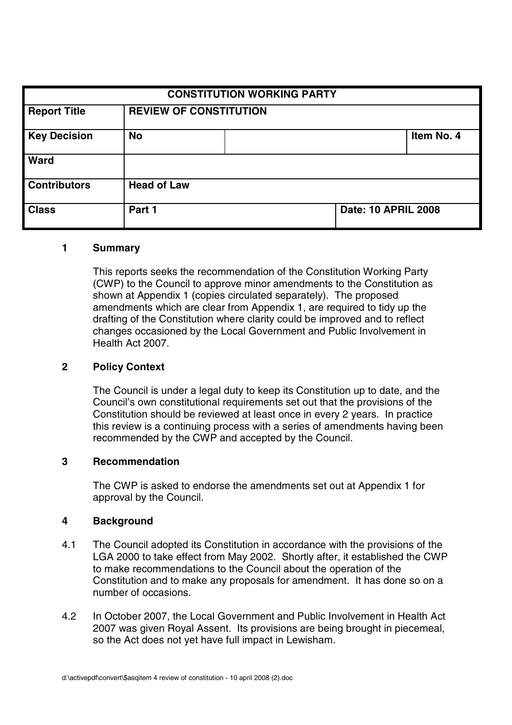| <b>CONSTITUTION WORKING PARTY</b> |                               |  |                            |            |
|-----------------------------------|-------------------------------|--|----------------------------|------------|
| <b>Report Title</b>               | <b>REVIEW OF CONSTITUTION</b> |  |                            |            |
| <b>Key Decision</b>               | <b>No</b>                     |  |                            | Item No. 4 |
| Ward                              |                               |  |                            |            |
| <b>Contributors</b>               | <b>Head of Law</b>            |  |                            |            |
| <b>Class</b>                      | Part 1                        |  | <b>Date: 10 APRIL 2008</b> |            |

### **1 Summary**

This reports seeks the recommendation of the Constitution Working Party (CWP) to the Council to approve minor amendments to the Constitution as shown at Appendix 1 (copies circulated separately). The proposed amendments which are clear from Appendix 1, are required to tidy up the drafting of the Constitution where clarity could be improved and to reflect changes occasioned by the Local Government and Public Involvement in Health Act 2007.

## **2 Policy Context**

The Council is under a legal duty to keep its Constitution up to date, and the Council's own constitutional requirements set out that the provisions of the Constitution should be reviewed at least once in every 2 years. In practice this review is a continuing process with a series of amendments having been recommended by the CWP and accepted by the Council.

### **3 Recommendation**

The CWP is asked to endorse the amendments set out at Appendix 1 for approval by the Council.

### **4 Background**

- 4.1 The Council adopted its Constitution in accordance with the provisions of the LGA 2000 to take effect from May 2002. Shortly after, it established the CWP to make recommendations to the Council about the operation of the Constitution and to make any proposals for amendment. It has done so on a number of occasions.
- 4.2 In October 2007, the Local Government and Public Involvement in Health Act 2007 was given Royal Assent. Its provisions are being brought in piecemeal, so the Act does not yet have full impact in Lewisham.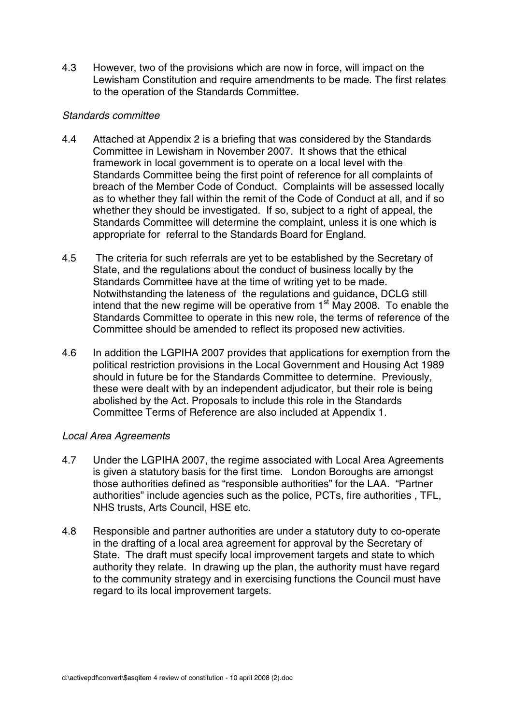4.3 However, two of the provisions which are now in force, will impact on the Lewisham Constitution and require amendments to be made. The first relates to the operation of the Standards Committee.

## Standards committee

- 4.4 Attached at Appendix 2 is a briefing that was considered by the Standards Committee in Lewisham in November 2007. It shows that the ethical framework in local government is to operate on a local level with the Standards Committee being the first point of reference for all complaints of breach of the Member Code of Conduct. Complaints will be assessed locally as to whether they fall within the remit of the Code of Conduct at all, and if so whether they should be investigated. If so, subject to a right of appeal, the Standards Committee will determine the complaint, unless it is one which is appropriate for referral to the Standards Board for England.
- 4.5 The criteria for such referrals are yet to be established by the Secretary of State, and the regulations about the conduct of business locally by the Standards Committee have at the time of writing yet to be made. Notwithstanding the lateness of the regulations and guidance, DCLG still intend that the new regime will be operative from  $1<sup>st</sup>$  May 2008. To enable the Standards Committee to operate in this new role, the terms of reference of the Committee should be amended to reflect its proposed new activities.
- 4.6 In addition the LGPIHA 2007 provides that applications for exemption from the political restriction provisions in the Local Government and Housing Act 1989 should in future be for the Standards Committee to determine. Previously, these were dealt with by an independent adjudicator, but their role is being abolished by the Act. Proposals to include this role in the Standards Committee Terms of Reference are also included at Appendix 1.

# Local Area Agreements

- 4.7 Under the LGPIHA 2007, the regime associated with Local Area Agreements is given a statutory basis for the first time. London Boroughs are amongst those authorities defined as "responsible authorities" for the LAA. "Partner authorities" include agencies such as the police, PCTs, fire authorities , TFL, NHS trusts, Arts Council, HSE etc.
- 4.8 Responsible and partner authorities are under a statutory duty to co-operate in the drafting of a local area agreement for approval by the Secretary of State. The draft must specify local improvement targets and state to which authority they relate. In drawing up the plan, the authority must have regard to the community strategy and in exercising functions the Council must have regard to its local improvement targets.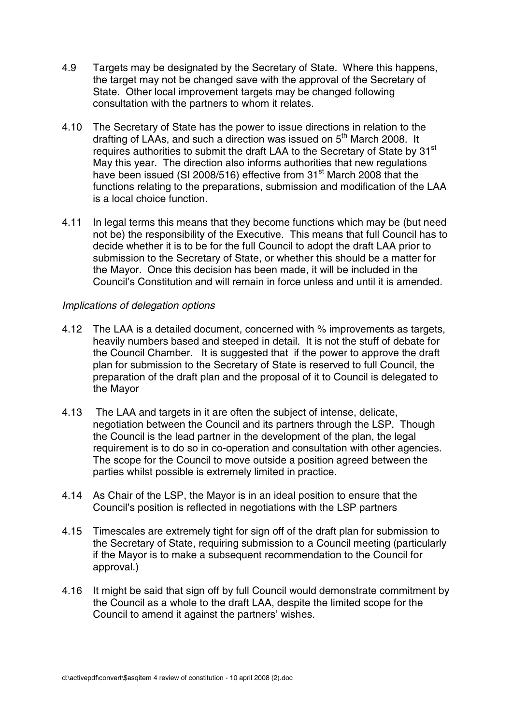- 4.9 Targets may be designated by the Secretary of State. Where this happens, the target may not be changed save with the approval of the Secretary of State. Other local improvement targets may be changed following consultation with the partners to whom it relates.
- 4.10 The Secretary of State has the power to issue directions in relation to the drafting of LAAs, and such a direction was issued on  $5<sup>th</sup>$  March 2008. It requires authorities to submit the draft LAA to the Secretary of State by 31<sup>st</sup> May this year. The direction also informs authorities that new regulations have been issued (SI 2008/516) effective from 31<sup>st</sup> March 2008 that the functions relating to the preparations, submission and modification of the LAA is a local choice function.
- 4.11 In legal terms this means that they become functions which may be (but need not be) the responsibility of the Executive. This means that full Council has to decide whether it is to be for the full Council to adopt the draft LAA prior to submission to the Secretary of State, or whether this should be a matter for the Mayor. Once this decision has been made, it will be included in the Council's Constitution and will remain in force unless and until it is amended.

# Implications of delegation options

- 4.12 The LAA is a detailed document, concerned with % improvements as targets, heavily numbers based and steeped in detail. It is not the stuff of debate for the Council Chamber. It is suggested that if the power to approve the draft plan for submission to the Secretary of State is reserved to full Council, the preparation of the draft plan and the proposal of it to Council is delegated to the Mayor
- 4.13 The LAA and targets in it are often the subject of intense, delicate, negotiation between the Council and its partners through the LSP. Though the Council is the lead partner in the development of the plan, the legal requirement is to do so in co-operation and consultation with other agencies. The scope for the Council to move outside a position agreed between the parties whilst possible is extremely limited in practice.
- 4.14 As Chair of the LSP, the Mayor is in an ideal position to ensure that the Council's position is reflected in negotiations with the LSP partners
- 4.15 Timescales are extremely tight for sign off of the draft plan for submission to the Secretary of State, requiring submission to a Council meeting (particularly if the Mayor is to make a subsequent recommendation to the Council for approval.)
- 4.16 It might be said that sign off by full Council would demonstrate commitment by the Council as a whole to the draft LAA, despite the limited scope for the Council to amend it against the partners' wishes.